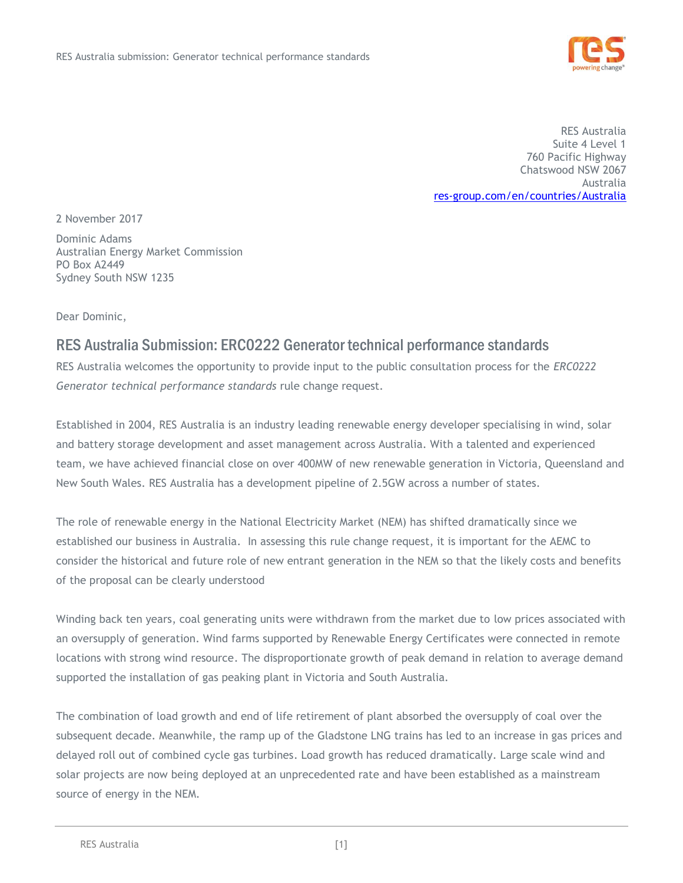

RES Australia Suite 4 Level 1 760 Pacific Highway Chatswood NSW 2067 Australia [res-group.com/en/countries/Australia](file://///Syd-fs-001/gis_old/temp/Marty/04%20Strategy/ERC0209%20Repex%20Rule%20Change/res-group.com/en/countries/Australia)

2 November 2017

Dominic Adams Australian Energy Market Commission PO Box A2449 Sydney South NSW 1235

Dear Dominic,

# RES Australia Submission: ERC0222 Generator technical performance standards

RES Australia welcomes the opportunity to provide input to the public consultation process for the *ERC0222 Generator technical performance standards* rule change request.

Established in 2004, RES Australia is an industry leading renewable energy developer specialising in wind, solar and battery storage development and asset management across Australia. With a talented and experienced team, we have achieved financial close on over 400MW of new renewable generation in Victoria, Queensland and New South Wales. RES Australia has a development pipeline of 2.5GW across a number of states.

The role of renewable energy in the National Electricity Market (NEM) has shifted dramatically since we established our business in Australia. In assessing this rule change request, it is important for the AEMC to consider the historical and future role of new entrant generation in the NEM so that the likely costs and benefits of the proposal can be clearly understood

Winding back ten years, coal generating units were withdrawn from the market due to low prices associated with an oversupply of generation. Wind farms supported by Renewable Energy Certificates were connected in remote locations with strong wind resource. The disproportionate growth of peak demand in relation to average demand supported the installation of gas peaking plant in Victoria and South Australia.

The combination of load growth and end of life retirement of plant absorbed the oversupply of coal over the subsequent decade. Meanwhile, the ramp up of the Gladstone LNG trains has led to an increase in gas prices and delayed roll out of combined cycle gas turbines. Load growth has reduced dramatically. Large scale wind and solar projects are now being deployed at an unprecedented rate and have been established as a mainstream source of energy in the NEM.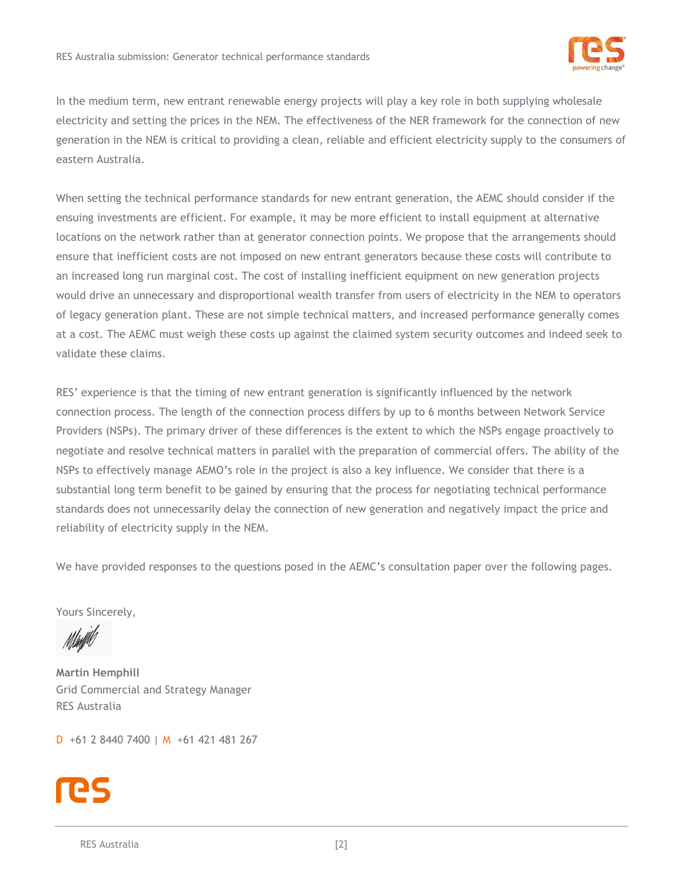

In the medium term, new entrant renewable energy projects will play a key role in both supplying wholesale electricity and setting the prices in the NEM. The effectiveness of the NER framework for the connection of new generation in the NEM is critical to providing a clean, reliable and efficient electricity supply to the consumers of eastern Australia.

When setting the technical performance standards for new entrant generation, the AEMC should consider if the ensuing investments are efficient. For example, it may be more efficient to install equipment at alternative locations on the network rather than at generator connection points. We propose that the arrangements should ensure that inefficient costs are not imposed on new entrant generators because these costs will contribute to an increased long run marginal cost. The cost of installing inefficient equipment on new generation projects would drive an unnecessary and disproportional wealth transfer from users of electricity in the NEM to operators of legacy generation plant. These are not simple technical matters, and increased performance generally comes at a cost. The AEMC must weigh these costs up against the claimed system security outcomes and indeed seek to validate these claims.

RES' experience is that the timing of new entrant generation is significantly influenced by the network connection process. The length of the connection process differs by up to 6 months between Network Service Providers (NSPs). The primary driver of these differences is the extent to which the NSPs engage proactively to negotiate and resolve technical matters in parallel with the preparation of commercial offers. The ability of the NSPs to effectively manage AEMO's role in the project is also a key influence. We consider that there is a substantial long term benefit to be gained by ensuring that the process for negotiating technical performance standards does not unnecessarily delay the connection of new generation and negatively impact the price and reliability of electricity supply in the NEM.

We have provided responses to the questions posed in the AEMC's consultation paper over the following pages.

Yours Sincerely,

**Martin Hemphill** Grid Commercial and Strategy Manager RES Australia

D +61 2 8440 7400 | M +61 421 481 267

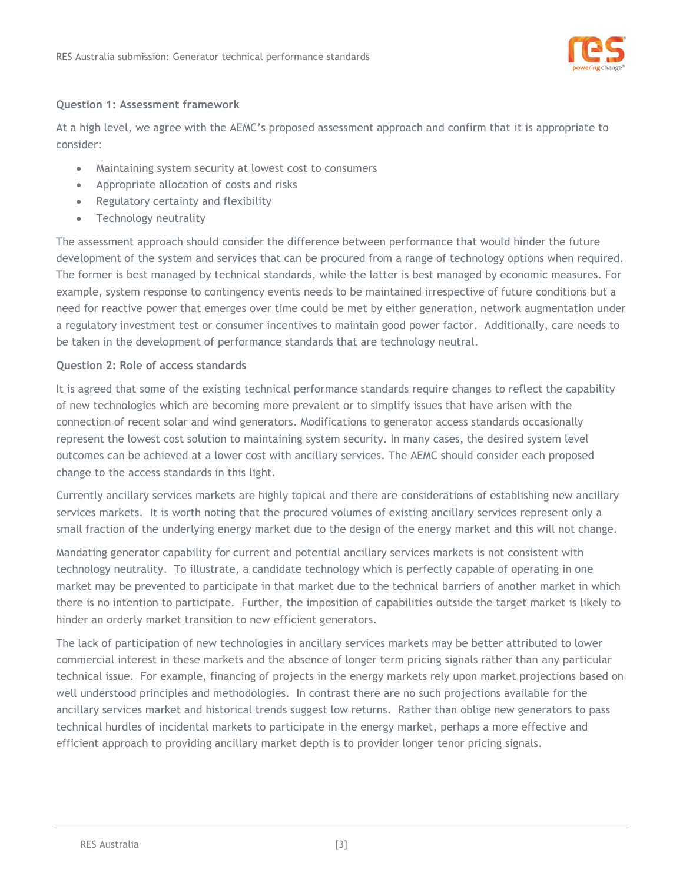

### **Question 1: Assessment framework**

At a high level, we agree with the AEMC's proposed assessment approach and confirm that it is appropriate to consider:

- Maintaining system security at lowest cost to consumers
- Appropriate allocation of costs and risks
- Regulatory certainty and flexibility
- Technology neutrality

The assessment approach should consider the difference between performance that would hinder the future development of the system and services that can be procured from a range of technology options when required. The former is best managed by technical standards, while the latter is best managed by economic measures. For example, system response to contingency events needs to be maintained irrespective of future conditions but a need for reactive power that emerges over time could be met by either generation, network augmentation under a regulatory investment test or consumer incentives to maintain good power factor. Additionally, care needs to be taken in the development of performance standards that are technology neutral.

### **Question 2: Role of access standards**

It is agreed that some of the existing technical performance standards require changes to reflect the capability of new technologies which are becoming more prevalent or to simplify issues that have arisen with the connection of recent solar and wind generators. Modifications to generator access standards occasionally represent the lowest cost solution to maintaining system security. In many cases, the desired system level outcomes can be achieved at a lower cost with ancillary services. The AEMC should consider each proposed change to the access standards in this light.

Currently ancillary services markets are highly topical and there are considerations of establishing new ancillary services markets. It is worth noting that the procured volumes of existing ancillary services represent only a small fraction of the underlying energy market due to the design of the energy market and this will not change.

Mandating generator capability for current and potential ancillary services markets is not consistent with technology neutrality. To illustrate, a candidate technology which is perfectly capable of operating in one market may be prevented to participate in that market due to the technical barriers of another market in which there is no intention to participate. Further, the imposition of capabilities outside the target market is likely to hinder an orderly market transition to new efficient generators.

The lack of participation of new technologies in ancillary services markets may be better attributed to lower commercial interest in these markets and the absence of longer term pricing signals rather than any particular technical issue. For example, financing of projects in the energy markets rely upon market projections based on well understood principles and methodologies. In contrast there are no such projections available for the ancillary services market and historical trends suggest low returns. Rather than oblige new generators to pass technical hurdles of incidental markets to participate in the energy market, perhaps a more effective and efficient approach to providing ancillary market depth is to provider longer tenor pricing signals.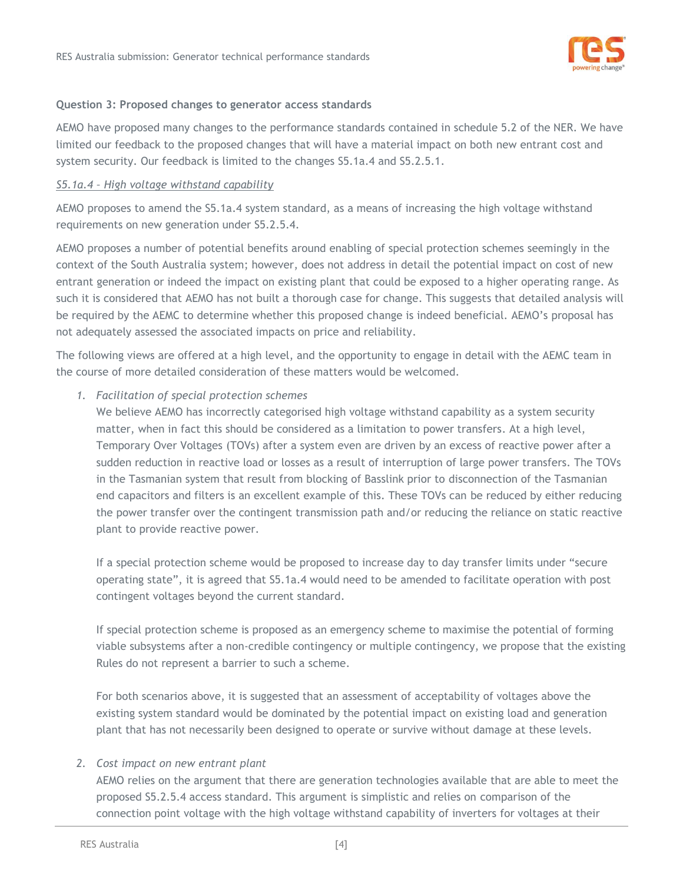

#### **Question 3: Proposed changes to generator access standards**

AEMO have proposed many changes to the performance standards contained in schedule 5.2 of the NER. We have limited our feedback to the proposed changes that will have a material impact on both new entrant cost and system security. Our feedback is limited to the changes S5.1a.4 and S5.2.5.1.

#### *S5.1a.4 – High voltage withstand capability*

AEMO proposes to amend the S5.1a.4 system standard, as a means of increasing the high voltage withstand requirements on new generation under S5.2.5.4.

AEMO proposes a number of potential benefits around enabling of special protection schemes seemingly in the context of the South Australia system; however, does not address in detail the potential impact on cost of new entrant generation or indeed the impact on existing plant that could be exposed to a higher operating range. As such it is considered that AEMO has not built a thorough case for change. This suggests that detailed analysis will be required by the AEMC to determine whether this proposed change is indeed beneficial. AEMO's proposal has not adequately assessed the associated impacts on price and reliability.

The following views are offered at a high level, and the opportunity to engage in detail with the AEMC team in the course of more detailed consideration of these matters would be welcomed.

#### *1. Facilitation of special protection schemes*

We believe AEMO has incorrectly categorised high voltage withstand capability as a system security matter, when in fact this should be considered as a limitation to power transfers. At a high level, Temporary Over Voltages (TOVs) after a system even are driven by an excess of reactive power after a sudden reduction in reactive load or losses as a result of interruption of large power transfers. The TOVs in the Tasmanian system that result from blocking of Basslink prior to disconnection of the Tasmanian end capacitors and filters is an excellent example of this. These TOVs can be reduced by either reducing the power transfer over the contingent transmission path and/or reducing the reliance on static reactive plant to provide reactive power.

If a special protection scheme would be proposed to increase day to day transfer limits under "secure operating state", it is agreed that S5.1a.4 would need to be amended to facilitate operation with post contingent voltages beyond the current standard.

If special protection scheme is proposed as an emergency scheme to maximise the potential of forming viable subsystems after a non-credible contingency or multiple contingency, we propose that the existing Rules do not represent a barrier to such a scheme.

For both scenarios above, it is suggested that an assessment of acceptability of voltages above the existing system standard would be dominated by the potential impact on existing load and generation plant that has not necessarily been designed to operate or survive without damage at these levels.

#### *2. Cost impact on new entrant plant*

AEMO relies on the argument that there are generation technologies available that are able to meet the proposed S5.2.5.4 access standard. This argument is simplistic and relies on comparison of the connection point voltage with the high voltage withstand capability of inverters for voltages at their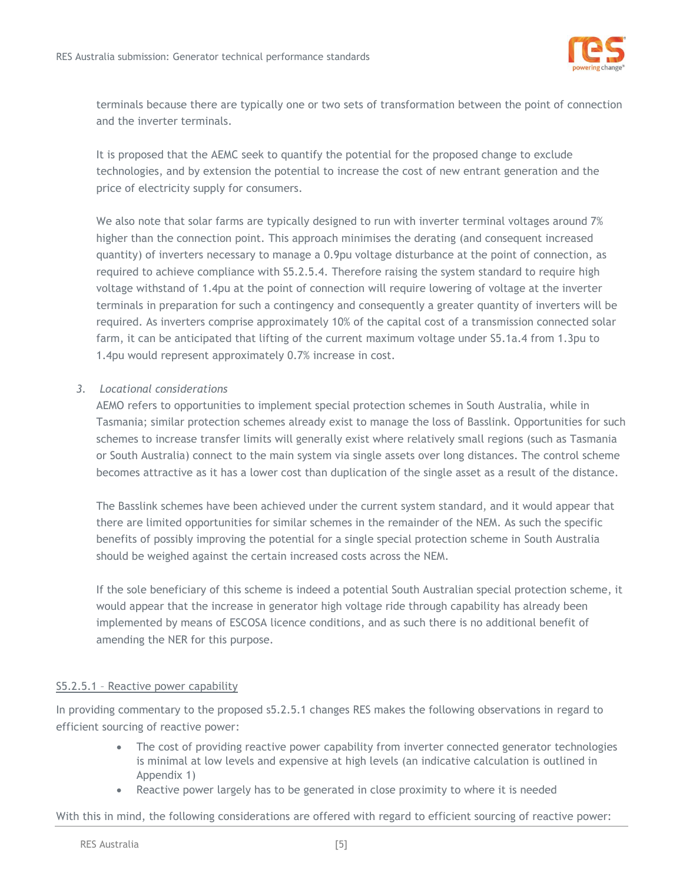

terminals because there are typically one or two sets of transformation between the point of connection and the inverter terminals.

It is proposed that the AEMC seek to quantify the potential for the proposed change to exclude technologies, and by extension the potential to increase the cost of new entrant generation and the price of electricity supply for consumers.

We also note that solar farms are typically designed to run with inverter terminal voltages around 7% higher than the connection point. This approach minimises the derating (and consequent increased quantity) of inverters necessary to manage a 0.9pu voltage disturbance at the point of connection, as required to achieve compliance with S5.2.5.4. Therefore raising the system standard to require high voltage withstand of 1.4pu at the point of connection will require lowering of voltage at the inverter terminals in preparation for such a contingency and consequently a greater quantity of inverters will be required. As inverters comprise approximately 10% of the capital cost of a transmission connected solar farm, it can be anticipated that lifting of the current maximum voltage under S5.1a.4 from 1.3pu to 1.4pu would represent approximately 0.7% increase in cost.

### *3. Locational considerations*

AEMO refers to opportunities to implement special protection schemes in South Australia, while in Tasmania; similar protection schemes already exist to manage the loss of Basslink. Opportunities for such schemes to increase transfer limits will generally exist where relatively small regions (such as Tasmania or South Australia) connect to the main system via single assets over long distances. The control scheme becomes attractive as it has a lower cost than duplication of the single asset as a result of the distance.

The Basslink schemes have been achieved under the current system standard, and it would appear that there are limited opportunities for similar schemes in the remainder of the NEM. As such the specific benefits of possibly improving the potential for a single special protection scheme in South Australia should be weighed against the certain increased costs across the NEM.

If the sole beneficiary of this scheme is indeed a potential South Australian special protection scheme, it would appear that the increase in generator high voltage ride through capability has already been implemented by means of ESCOSA licence conditions, and as such there is no additional benefit of amending the NER for this purpose.

# S5.2.5.1 – Reactive power capability

In providing commentary to the proposed s5.2.5.1 changes RES makes the following observations in regard to efficient sourcing of reactive power:

- The cost of providing reactive power capability from inverter connected generator technologies is minimal at low levels and expensive at high levels (an indicative calculation is outlined in Appendix 1)
- Reactive power largely has to be generated in close proximity to where it is needed

With this in mind, the following considerations are offered with regard to efficient sourcing of reactive power: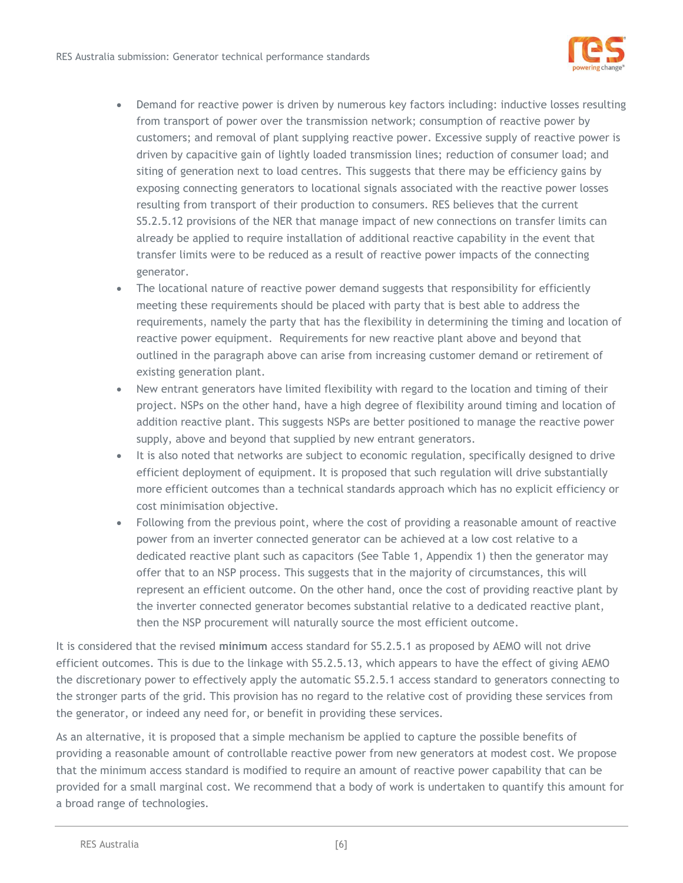

- Demand for reactive power is driven by numerous key factors including: inductive losses resulting from transport of power over the transmission network; consumption of reactive power by customers; and removal of plant supplying reactive power. Excessive supply of reactive power is driven by capacitive gain of lightly loaded transmission lines; reduction of consumer load; and siting of generation next to load centres. This suggests that there may be efficiency gains by exposing connecting generators to locational signals associated with the reactive power losses resulting from transport of their production to consumers. RES believes that the current S5.2.5.12 provisions of the NER that manage impact of new connections on transfer limits can already be applied to require installation of additional reactive capability in the event that transfer limits were to be reduced as a result of reactive power impacts of the connecting generator.
- The locational nature of reactive power demand suggests that responsibility for efficiently meeting these requirements should be placed with party that is best able to address the requirements, namely the party that has the flexibility in determining the timing and location of reactive power equipment. Requirements for new reactive plant above and beyond that outlined in the paragraph above can arise from increasing customer demand or retirement of existing generation plant.
- New entrant generators have limited flexibility with regard to the location and timing of their project. NSPs on the other hand, have a high degree of flexibility around timing and location of addition reactive plant. This suggests NSPs are better positioned to manage the reactive power supply, above and beyond that supplied by new entrant generators.
- It is also noted that networks are subject to economic regulation, specifically designed to drive efficient deployment of equipment. It is proposed that such regulation will drive substantially more efficient outcomes than a technical standards approach which has no explicit efficiency or cost minimisation objective.
- Following from the previous point, where the cost of providing a reasonable amount of reactive power from an inverter connected generator can be achieved at a low cost relative to a dedicated reactive plant such as capacitors (See Table 1, Appendix 1) then the generator may offer that to an NSP process. This suggests that in the majority of circumstances, this will represent an efficient outcome. On the other hand, once the cost of providing reactive plant by the inverter connected generator becomes substantial relative to a dedicated reactive plant, then the NSP procurement will naturally source the most efficient outcome.

It is considered that the revised **minimum** access standard for S5.2.5.1 as proposed by AEMO will not drive efficient outcomes. This is due to the linkage with S5.2.5.13, which appears to have the effect of giving AEMO the discretionary power to effectively apply the automatic S5.2.5.1 access standard to generators connecting to the stronger parts of the grid. This provision has no regard to the relative cost of providing these services from the generator, or indeed any need for, or benefit in providing these services.

As an alternative, it is proposed that a simple mechanism be applied to capture the possible benefits of providing a reasonable amount of controllable reactive power from new generators at modest cost. We propose that the minimum access standard is modified to require an amount of reactive power capability that can be provided for a small marginal cost. We recommend that a body of work is undertaken to quantify this amount for a broad range of technologies.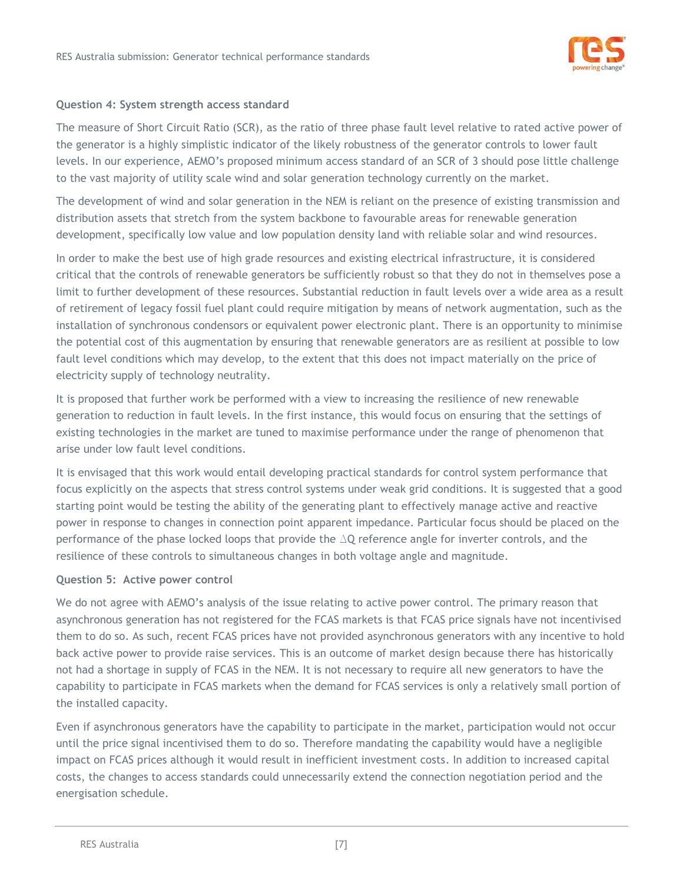

#### **Question 4: System strength access standard**

The measure of Short Circuit Ratio (SCR), as the ratio of three phase fault level relative to rated active power of the generator is a highly simplistic indicator of the likely robustness of the generator controls to lower fault levels. In our experience, AEMO's proposed minimum access standard of an SCR of 3 should pose little challenge to the vast majority of utility scale wind and solar generation technology currently on the market.

The development of wind and solar generation in the NEM is reliant on the presence of existing transmission and distribution assets that stretch from the system backbone to favourable areas for renewable generation development, specifically low value and low population density land with reliable solar and wind resources.

In order to make the best use of high grade resources and existing electrical infrastructure, it is considered critical that the controls of renewable generators be sufficiently robust so that they do not in themselves pose a limit to further development of these resources. Substantial reduction in fault levels over a wide area as a result of retirement of legacy fossil fuel plant could require mitigation by means of network augmentation, such as the installation of synchronous condensors or equivalent power electronic plant. There is an opportunity to minimise the potential cost of this augmentation by ensuring that renewable generators are as resilient at possible to low fault level conditions which may develop, to the extent that this does not impact materially on the price of electricity supply of technology neutrality.

It is proposed that further work be performed with a view to increasing the resilience of new renewable generation to reduction in fault levels. In the first instance, this would focus on ensuring that the settings of existing technologies in the market are tuned to maximise performance under the range of phenomenon that arise under low fault level conditions.

It is envisaged that this work would entail developing practical standards for control system performance that focus explicitly on the aspects that stress control systems under weak grid conditions. It is suggested that a good starting point would be testing the ability of the generating plant to effectively manage active and reactive power in response to changes in connection point apparent impedance. Particular focus should be placed on the performance of the phase locked loops that provide the ΔQ reference angle for inverter controls, and the resilience of these controls to simultaneous changes in both voltage angle and magnitude.

#### **Question 5: Active power control**

We do not agree with AEMO's analysis of the issue relating to active power control. The primary reason that asynchronous generation has not registered for the FCAS markets is that FCAS price signals have not incentivised them to do so. As such, recent FCAS prices have not provided asynchronous generators with any incentive to hold back active power to provide raise services. This is an outcome of market design because there has historically not had a shortage in supply of FCAS in the NEM. It is not necessary to require all new generators to have the capability to participate in FCAS markets when the demand for FCAS services is only a relatively small portion of the installed capacity.

Even if asynchronous generators have the capability to participate in the market, participation would not occur until the price signal incentivised them to do so. Therefore mandating the capability would have a negligible impact on FCAS prices although it would result in inefficient investment costs. In addition to increased capital costs, the changes to access standards could unnecessarily extend the connection negotiation period and the energisation schedule.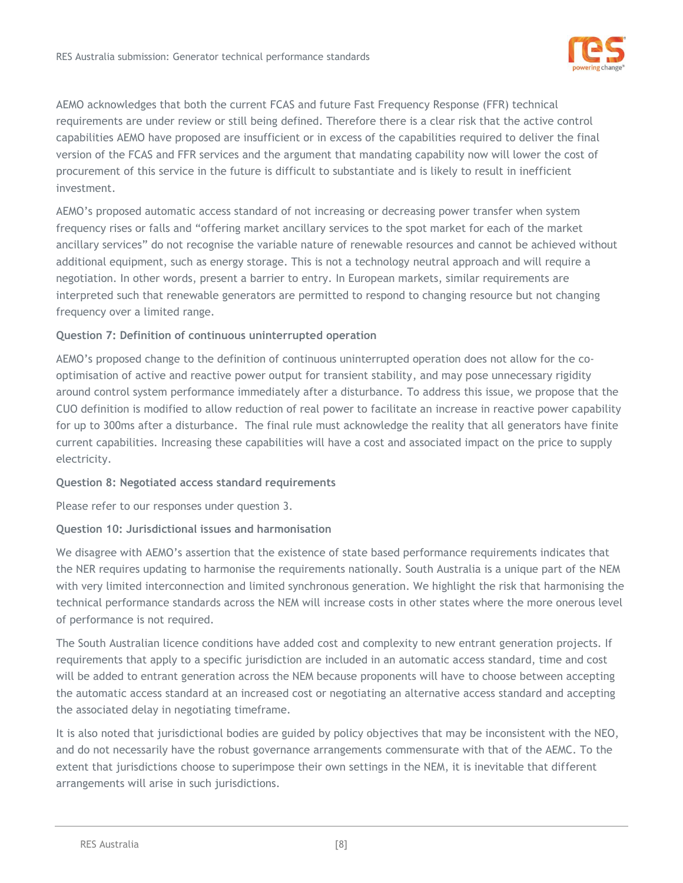

AEMO acknowledges that both the current FCAS and future Fast Frequency Response (FFR) technical requirements are under review or still being defined. Therefore there is a clear risk that the active control capabilities AEMO have proposed are insufficient or in excess of the capabilities required to deliver the final version of the FCAS and FFR services and the argument that mandating capability now will lower the cost of procurement of this service in the future is difficult to substantiate and is likely to result in inefficient investment.

AEMO's proposed automatic access standard of not increasing or decreasing power transfer when system frequency rises or falls and "offering market ancillary services to the spot market for each of the market ancillary services" do not recognise the variable nature of renewable resources and cannot be achieved without additional equipment, such as energy storage. This is not a technology neutral approach and will require a negotiation. In other words, present a barrier to entry. In European markets, similar requirements are interpreted such that renewable generators are permitted to respond to changing resource but not changing frequency over a limited range.

# **Question 7: Definition of continuous uninterrupted operation**

AEMO's proposed change to the definition of continuous uninterrupted operation does not allow for the cooptimisation of active and reactive power output for transient stability, and may pose unnecessary rigidity around control system performance immediately after a disturbance. To address this issue, we propose that the CUO definition is modified to allow reduction of real power to facilitate an increase in reactive power capability for up to 300ms after a disturbance. The final rule must acknowledge the reality that all generators have finite current capabilities. Increasing these capabilities will have a cost and associated impact on the price to supply electricity.

# **Question 8: Negotiated access standard requirements**

Please refer to our responses under question 3.

# **Question 10: Jurisdictional issues and harmonisation**

We disagree with AEMO's assertion that the existence of state based performance requirements indicates that the NER requires updating to harmonise the requirements nationally. South Australia is a unique part of the NEM with very limited interconnection and limited synchronous generation. We highlight the risk that harmonising the technical performance standards across the NEM will increase costs in other states where the more onerous level of performance is not required.

The South Australian licence conditions have added cost and complexity to new entrant generation projects. If requirements that apply to a specific jurisdiction are included in an automatic access standard, time and cost will be added to entrant generation across the NEM because proponents will have to choose between accepting the automatic access standard at an increased cost or negotiating an alternative access standard and accepting the associated delay in negotiating timeframe.

It is also noted that jurisdictional bodies are guided by policy objectives that may be inconsistent with the NEO, and do not necessarily have the robust governance arrangements commensurate with that of the AEMC. To the extent that jurisdictions choose to superimpose their own settings in the NEM, it is inevitable that different arrangements will arise in such jurisdictions.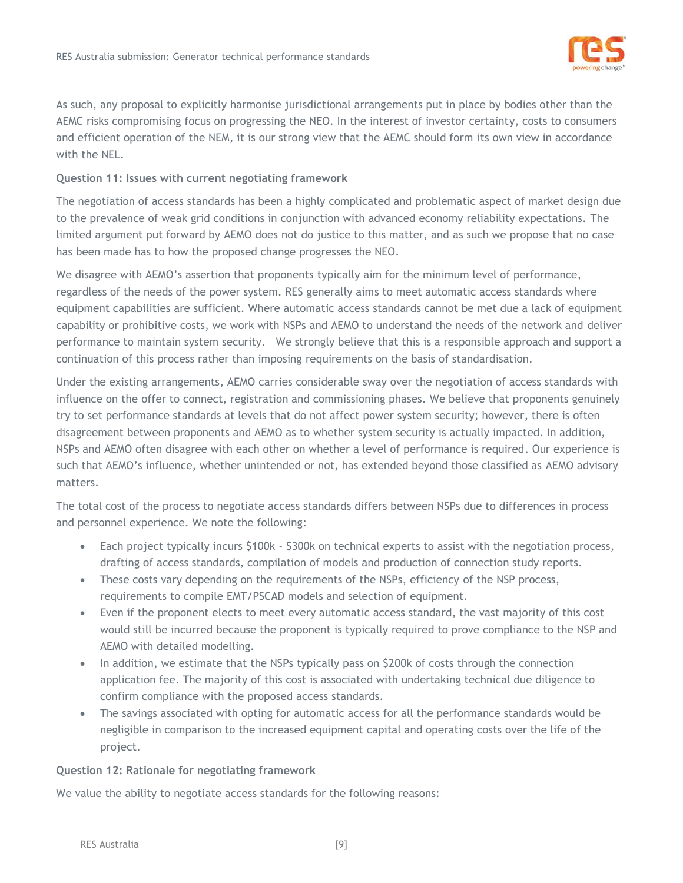

As such, any proposal to explicitly harmonise jurisdictional arrangements put in place by bodies other than the AEMC risks compromising focus on progressing the NEO. In the interest of investor certainty, costs to consumers and efficient operation of the NEM, it is our strong view that the AEMC should form its own view in accordance with the NEL.

# **Question 11: Issues with current negotiating framework**

The negotiation of access standards has been a highly complicated and problematic aspect of market design due to the prevalence of weak grid conditions in conjunction with advanced economy reliability expectations. The limited argument put forward by AEMO does not do justice to this matter, and as such we propose that no case has been made has to how the proposed change progresses the NEO.

We disagree with AEMO's assertion that proponents typically aim for the minimum level of performance, regardless of the needs of the power system. RES generally aims to meet automatic access standards where equipment capabilities are sufficient. Where automatic access standards cannot be met due a lack of equipment capability or prohibitive costs, we work with NSPs and AEMO to understand the needs of the network and deliver performance to maintain system security. We strongly believe that this is a responsible approach and support a continuation of this process rather than imposing requirements on the basis of standardisation.

Under the existing arrangements, AEMO carries considerable sway over the negotiation of access standards with influence on the offer to connect, registration and commissioning phases. We believe that proponents genuinely try to set performance standards at levels that do not affect power system security; however, there is often disagreement between proponents and AEMO as to whether system security is actually impacted. In addition, NSPs and AEMO often disagree with each other on whether a level of performance is required. Our experience is such that AEMO's influence, whether unintended or not, has extended beyond those classified as AEMO advisory matters.

The total cost of the process to negotiate access standards differs between NSPs due to differences in process and personnel experience. We note the following:

- Each project typically incurs \$100k \$300k on technical experts to assist with the negotiation process, drafting of access standards, compilation of models and production of connection study reports.
- These costs vary depending on the requirements of the NSPs, efficiency of the NSP process, requirements to compile EMT/PSCAD models and selection of equipment.
- Even if the proponent elects to meet every automatic access standard, the vast majority of this cost would still be incurred because the proponent is typically required to prove compliance to the NSP and AEMO with detailed modelling.
- In addition, we estimate that the NSPs typically pass on \$200k of costs through the connection application fee. The majority of this cost is associated with undertaking technical due diligence to confirm compliance with the proposed access standards.
- The savings associated with opting for automatic access for all the performance standards would be negligible in comparison to the increased equipment capital and operating costs over the life of the project.

#### **Question 12: Rationale for negotiating framework**

We value the ability to negotiate access standards for the following reasons: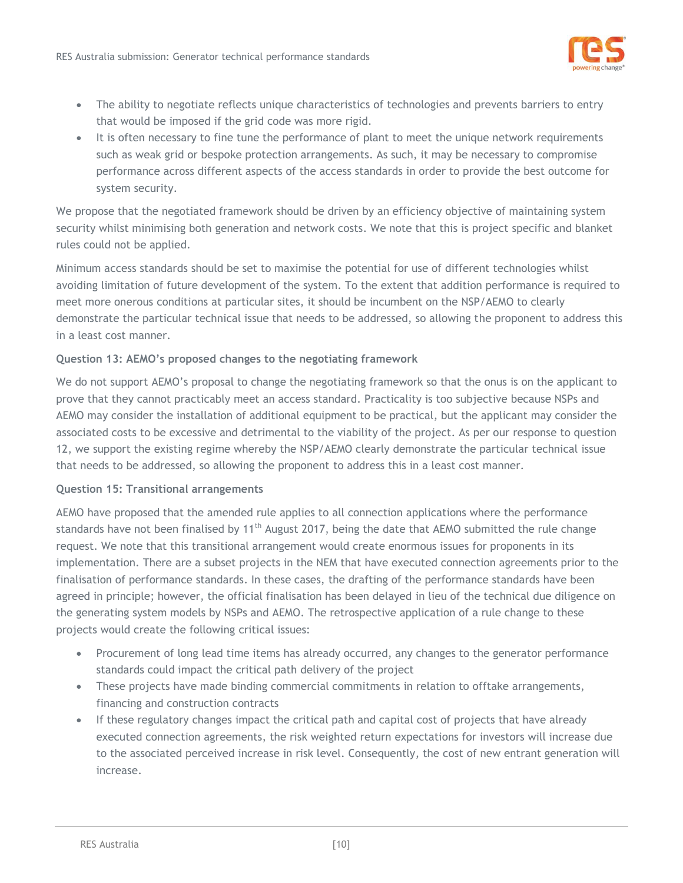

- The ability to negotiate reflects unique characteristics of technologies and prevents barriers to entry that would be imposed if the grid code was more rigid.
- It is often necessary to fine tune the performance of plant to meet the unique network requirements such as weak grid or bespoke protection arrangements. As such, it may be necessary to compromise performance across different aspects of the access standards in order to provide the best outcome for system security.

We propose that the negotiated framework should be driven by an efficiency objective of maintaining system security whilst minimising both generation and network costs. We note that this is project specific and blanket rules could not be applied.

Minimum access standards should be set to maximise the potential for use of different technologies whilst avoiding limitation of future development of the system. To the extent that addition performance is required to meet more onerous conditions at particular sites, it should be incumbent on the NSP/AEMO to clearly demonstrate the particular technical issue that needs to be addressed, so allowing the proponent to address this in a least cost manner.

# **Question 13: AEMO's proposed changes to the negotiating framework**

We do not support AEMO's proposal to change the negotiating framework so that the onus is on the applicant to prove that they cannot practicably meet an access standard. Practicality is too subjective because NSPs and AEMO may consider the installation of additional equipment to be practical, but the applicant may consider the associated costs to be excessive and detrimental to the viability of the project. As per our response to question 12, we support the existing regime whereby the NSP/AEMO clearly demonstrate the particular technical issue that needs to be addressed, so allowing the proponent to address this in a least cost manner.

#### **Question 15: Transitional arrangements**

AEMO have proposed that the amended rule applies to all connection applications where the performance standards have not been finalised by 11<sup>th</sup> August 2017, being the date that AEMO submitted the rule change request. We note that this transitional arrangement would create enormous issues for proponents in its implementation. There are a subset projects in the NEM that have executed connection agreements prior to the finalisation of performance standards. In these cases, the drafting of the performance standards have been agreed in principle; however, the official finalisation has been delayed in lieu of the technical due diligence on the generating system models by NSPs and AEMO. The retrospective application of a rule change to these projects would create the following critical issues:

- Procurement of long lead time items has already occurred, any changes to the generator performance standards could impact the critical path delivery of the project
- These projects have made binding commercial commitments in relation to offtake arrangements, financing and construction contracts
- If these regulatory changes impact the critical path and capital cost of projects that have already executed connection agreements, the risk weighted return expectations for investors will increase due to the associated perceived increase in risk level. Consequently, the cost of new entrant generation will increase.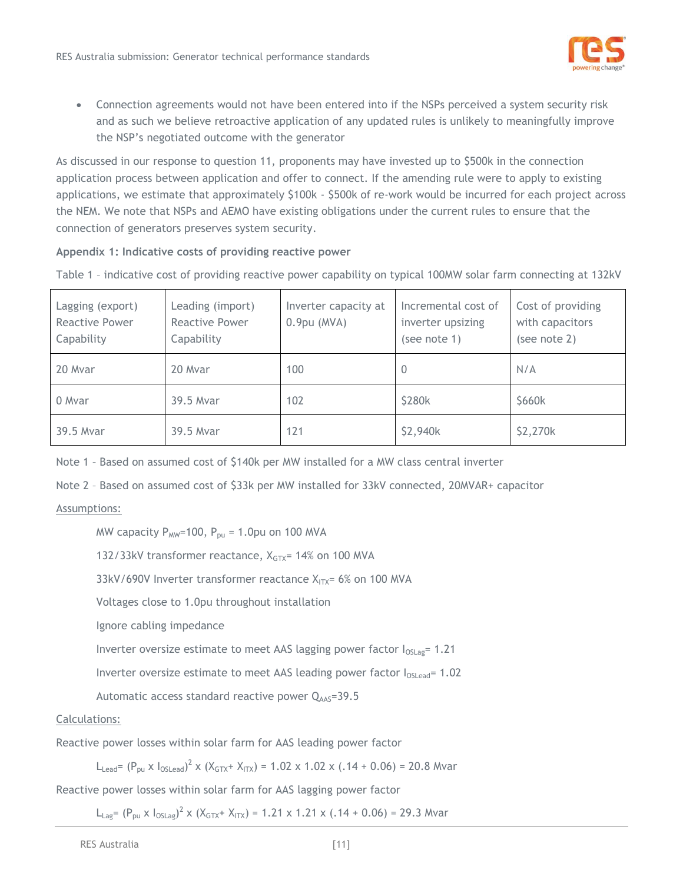

 Connection agreements would not have been entered into if the NSPs perceived a system security risk and as such we believe retroactive application of any updated rules is unlikely to meaningfully improve the NSP's negotiated outcome with the generator

As discussed in our response to question 11, proponents may have invested up to \$500k in the connection application process between application and offer to connect. If the amending rule were to apply to existing applications, we estimate that approximately \$100k - \$500k of re-work would be incurred for each project across the NEM. We note that NSPs and AEMO have existing obligations under the current rules to ensure that the connection of generators preserves system security.

# **Appendix 1: Indicative costs of providing reactive power**

Table 1 – indicative cost of providing reactive power capability on typical 100MW solar farm connecting at 132kV

| Lagging (export)<br>Reactive Power<br>Capability | Leading (import)<br>Reactive Power<br>Capability | Inverter capacity at<br>$0.9$ pu (MVA) | Incremental cost of<br>inverter upsizing<br>(see note 1) | Cost of providing<br>with capacitors<br>(see note 2) |
|--------------------------------------------------|--------------------------------------------------|----------------------------------------|----------------------------------------------------------|------------------------------------------------------|
| 20 Myar                                          | 20 Myar                                          | 100                                    | $\overline{0}$                                           | N/A                                                  |
| 0 Mvar                                           | 39.5 Mvar                                        | 102                                    | \$280k                                                   | \$660k                                               |
| 39.5 Mvar                                        | 39.5 Mvar                                        | 121                                    | \$2,940k                                                 | \$2,270k                                             |

Note 1 – Based on assumed cost of \$140k per MW installed for a MW class central inverter

Note 2 – Based on assumed cost of \$33k per MW installed for 33kV connected, 20MVAR+ capacitor

# Assumptions:

MW capacity  $P_{MW}=100$ ,  $P_{pu} = 1.0$ pu on 100 MVA

132/33kV transformer reactance, X<sub>GTX</sub>= 14% on 100 MVA

33kV/690V Inverter transformer reactance  $X_{ITX}$ = 6% on 100 MVA

Voltages close to 1.0pu throughout installation

Ignore cabling impedance

Inverter oversize estimate to meet AAS lagging power factor  $I_{OSLag}$ = 1.21

Inverter oversize estimate to meet AAS leading power factor  $I_{OSlead}$ = 1.02

Automatic access standard reactive power  $Q_{\text{AAS}}$ =39.5

# Calculations:

Reactive power losses within solar farm for AAS leading power factor

L<sub>Lead</sub>= (P<sub>pu</sub> x l<sub>OSLead</sub>)<sup>2</sup> x (X<sub>GTX</sub>+ X<sub>ITX</sub>) = 1.02 x 1.02 x (.14 + 0.06) = 20.8 Mvar

Reactive power losses within solar farm for AAS lagging power factor

 $L_{\text{Lag}}$ = (P<sub>pu</sub> x l<sub>0SLag</sub>)<sup>2</sup> x (X<sub>GTX</sub>+ X<sub>ITX</sub>) = 1.21 x 1.21 x (.14 + 0.06) = 29.3 Mvar